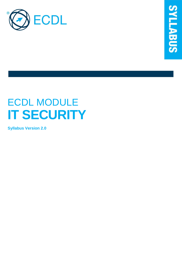

# ECDL MODULE **IT SECURITY**

**Syllabus Version 2.0**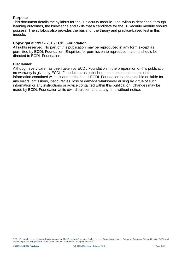#### **Purpose**

This document details the syllabus for the IT Security module. The syllabus describes, through learning outcomes, the knowledge and skills that a candidate for the IT Security module should possess. The syllabus also provides the basis for the theory and practice-based test in this module.

#### **Copyright © 1997 - 2015 ECDL Foundation**

All rights reserved. No part of this publication may be reproduced in any form except as permitted by ECDL Foundation. Enquiries for permission to reproduce material should be directed to ECDL Foundation.

#### **Disclaimer**

Although every care has been taken by ECDL Foundation in the preparation of this publication, no warranty is given by ECDL Foundation, as publisher, as to the completeness of the information contained within it and neither shall ECDL Foundation be responsible or liable for any errors, omissions, inaccuracies, loss or damage whatsoever arising by virtue of such information or any instructions or advice contained within this publication. Changes may be made by ECDL Foundation at its own discretion and at any time without notice.

ECDL Foundation is a registered business name of The European Computer Driving Licence Foundation Limited. European Computer Driving Licence, ECDL and related logos are all registered Trade Marks of ECDL Foundation. All rights reserved.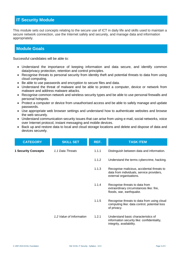## **IT Security Module**

This module sets out concepts relating to the secure use of ICT in daily life and skills used to maintain a secure network connection, use the Internet safely and securely, and manage data and information appropriately.

### **Module Goals**

Successful candidates will be able to:

- Understand the importance of keeping information and data secure, and identify common data/privacy protection, retention and control principles.
- Recognise threats to personal security from identity theft and potential threats to data from using cloud computing.
- Be able to use passwords and encryption to secure files and data.
- Understand the threat of malware and be able to protect a computer, device or network from malware and address malware attacks.
- Recognise common network and wireless security types and be able to use personal firewalls and personal hotspots.
- Protect a computer or device from unauthorised access and be able to safely manage and update passwords.
- Use appropriate web browser settings and understand how to authenticate websites and browse the web securely.
- Understand communication security issues that can arise from using e-mail, social networks, voice over Internet protocol, instant messaging and mobile devices.
- Back up and restore data to local and cloud storage locations and delete and dispose of data and devices securely.

| <b>CATEGORY</b>            | <b>SKILL SET</b>         | REF.  | <b>TASK ITEM</b>                                                                                                   |
|----------------------------|--------------------------|-------|--------------------------------------------------------------------------------------------------------------------|
| <b>1 Security Concepts</b> | 1.1 Data Threats         | 1.1.1 | Distinguish between data and information.                                                                          |
|                            |                          | 1.1.2 | Understand the terms cybercrime, hacking.                                                                          |
|                            |                          | 1.1.3 | Recognise malicious, accidental threats to<br>data from individuals, service providers,<br>external organisations. |
|                            |                          | 1.1.4 | Recognise threats to data from<br>extraordinary circumstances like: fire,<br>floods, war, earthquake.              |
|                            |                          | 1.1.5 | Recognise threats to data from using cloud<br>computing like: data control, potential loss<br>of privacy.          |
|                            | 1.2 Value of Information | 1.2.1 | Understand basic characteristics of<br>information security like: confidentiality,<br>integrity, availability.     |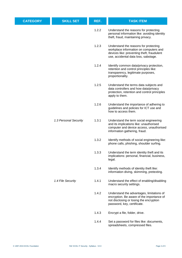| <b>CATEGORY</b> | <b>SKILL SET</b>      | REF.  | <b>TASK ITEM</b>                                                                                                                                                      |
|-----------------|-----------------------|-------|-----------------------------------------------------------------------------------------------------------------------------------------------------------------------|
|                 |                       | 1.2.2 | Understand the reasons for protecting<br>personal information like: avoiding identity<br>theft, fraud, maintaining privacy.                                           |
|                 |                       | 1.2.3 | Understand the reasons for protecting<br>workplace information on computers and<br>devices like: preventing theft, fraudulent<br>use, accidental data loss, sabotage. |
|                 |                       | 1.2.4 | Identify common data/privacy protection,<br>retention and control principles like:<br>transparency, legitimate purposes,<br>proportionality.                          |
|                 |                       | 1.2.5 | Understand the terms data subjects and<br>data controllers and how data/privacy<br>protection, retention and control principles<br>apply to them.                     |
|                 |                       | 1.2.6 | Understand the importance of adhering to<br>guidelines and policies for ICT use and<br>how to access them.                                                            |
|                 | 1.3 Personal Security | 1.3.1 | Understand the term social engineering<br>and its implications like: unauthorised<br>computer and device access, unauthorised<br>information gathering, fraud.        |
|                 |                       | 1.3.2 | Identify methods of social engineering like:<br>phone calls, phishing, shoulder surfing.                                                                              |
|                 |                       | 1.3.3 | Understand the term identity theft and its<br>implications: personal, financial, business,<br>legal.                                                                  |
|                 |                       | 1.3.4 | Identify methods of identity theft like:<br>information diving, skimming, pretexting.                                                                                 |
|                 | 1.4 File Security     | 1.4.1 | Understand the effect of enabling/disabling<br>macro security settings.                                                                                               |
|                 |                       | 1.4.2 | Understand the advantages, limitations of<br>encryption. Be aware of the importance of<br>not disclosing or losing the encryption<br>password, key, certificate.      |
|                 |                       | 1.4.3 | Encrypt a file, folder, drive.                                                                                                                                        |
|                 |                       | 1.4.4 | Set a password for files like: documents,                                                                                                                             |

spreadsheets, compressed files.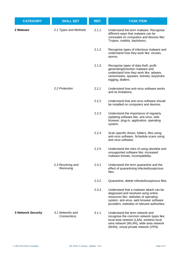| <b>CATEGORY</b>           | <b>SKILL SET</b>                | REF.  | <b>TASK ITEM</b>                                                                                                                                                                                                    |
|---------------------------|---------------------------------|-------|---------------------------------------------------------------------------------------------------------------------------------------------------------------------------------------------------------------------|
| 2 Malware                 | 2.1 Types and Methods           | 2.1.1 | Understand the term malware. Recognise<br>different ways that malware can be<br>concealed on computers and devices like:<br>Trojans, rootkits, backdoors.                                                           |
|                           |                                 | 2.1.2 | Recognise types of infectious malware and<br>understand how they work like: viruses,<br>worms.                                                                                                                      |
|                           |                                 | 2.1.3 | Recognise types of data theft, profit<br>generating/extortion malware and<br>understand how they work like: adware,<br>ransomware, spyware, botnets, keystroke<br>logging, diallers.                                |
|                           | 2.2 Protection                  | 2.2.1 | Understand how anti-virus software works<br>and its limitations.                                                                                                                                                    |
|                           |                                 | 2.2.2 | Understand that anti-virus software should<br>be installed on computers and devices.                                                                                                                                |
|                           |                                 | 2.2.3 | Understand the importance of regularly<br>updating software like: anti-virus, web<br>browser, plug-in, application, operating<br>system.                                                                            |
|                           |                                 | 2.2.4 | Scan specific drives, folders, files using<br>anti-virus software. Schedule scans using<br>anti-virus software.                                                                                                     |
|                           |                                 | 2.2.5 | Understand the risks of using obsolete and<br>unsupported software like: increased<br>malware threats, incompatibility.                                                                                             |
|                           | 2.3 Resolving and<br>Removing   | 2.3.1 | Understand the term quarantine and the<br>effect of quarantining infected/suspicious<br>files.                                                                                                                      |
|                           |                                 | 2.3.2 | Quarantine, delete infected/suspicious files.                                                                                                                                                                       |
|                           |                                 | 2.3.3 | Understand that a malware attack can be<br>diagnosed and resolved using online<br>resources like: websites of operating<br>system, anti-virus, web browser software<br>providers, websites of relevant authorities. |
| <b>3 Network Security</b> | 3.1 Networks and<br>Connections | 3.1.1 | Understand the term network and<br>recognise the common network types like:<br>local area network (LAN), wireless local<br>area network (WLAN), wide area network<br>(WAN), virtual private network (VPN).          |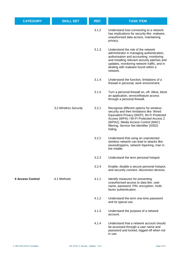| <b>CATEGORY</b>         | <b>SKILL SET</b>      | REF.  | <b>TASK ITEM</b>                                                                                                                                                                                                                                                              |
|-------------------------|-----------------------|-------|-------------------------------------------------------------------------------------------------------------------------------------------------------------------------------------------------------------------------------------------------------------------------------|
|                         |                       | 3.1.2 | Understand how connecting to a network<br>has implications for security like: malware,<br>unauthorised data access, maintaining<br>privacy.                                                                                                                                   |
|                         |                       | 3.1.3 | Understand the role of the network<br>administrator in managing authentication,<br>authorisation and accounting, monitoring<br>and installing relevant security patches and<br>updates, monitoring network traffic, and in<br>dealing with malware found within a<br>network. |
|                         |                       | 3.1.4 | Understand the function, limitations of a<br>firewall in personal, work environment.                                                                                                                                                                                          |
|                         |                       | 3.1.5 | Turn a personal firewall on, off. Allow, block<br>an application, service/feature access<br>through a personal firewall.                                                                                                                                                      |
|                         | 3.2 Wireless Security | 3.2.1 | Recognise different options for wireless<br>security and their limitations like: Wired<br>Equivalent Privacy (WEP), Wi-Fi Protected<br>Access (WPA) / Wi-Fi Protected Access 2<br>(WPA2), Media Access Control (MAC)<br>filtering, Service Set Identifier (SSID)<br>hiding.   |
|                         |                       | 3.2.2 | Understand that using an unprotected<br>wireless network can lead to attacks like:<br>eavesdroppers, network hijacking, man in<br>the middle.                                                                                                                                 |
|                         |                       | 3.2.3 | Understand the term personal hotspot.                                                                                                                                                                                                                                         |
|                         |                       | 3.2.4 | Enable, disable a secure personal hotspot,<br>and securely connect, disconnect devices.                                                                                                                                                                                       |
| <b>4 Access Control</b> | 4.1 Methods           | 4.1.1 | Identify measures for preventing<br>unauthorised access to data like: user<br>name, password, PIN, encryption, multi-<br>factor authentication.                                                                                                                               |
|                         |                       | 4.1.2 | Understand the term one-time password<br>and its typical use.                                                                                                                                                                                                                 |
|                         |                       | 4.1.3 | Understand the purpose of a network<br>account.                                                                                                                                                                                                                               |
|                         |                       | 4.1.4 | Understand that a network account should<br>be accessed through a user name and<br>password and locked, logged off when not<br>in use.                                                                                                                                        |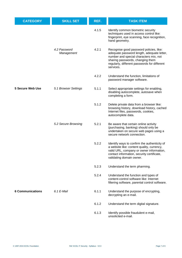| <b>CATEGORY</b>         | <b>SKILL SET</b>           | REF.  | <b>TASK ITEM</b>                                                                                                                                                                                                                 |
|-------------------------|----------------------------|-------|----------------------------------------------------------------------------------------------------------------------------------------------------------------------------------------------------------------------------------|
|                         |                            | 4.1.5 | Identify common biometric security<br>techniques used in access control like:<br>fingerprint, eye scanning, face recognition,<br>hand geometry.                                                                                  |
|                         | 4.2 Password<br>Management | 4.2.1 | Recognise good password policies, like:<br>adequate password length, adequate letter,<br>number and special characters mix, not<br>sharing passwords, changing them<br>regularly, different passwords for different<br>services. |
|                         |                            | 4.2.2 | Understand the function, limitations of<br>password manager software.                                                                                                                                                            |
| <b>5 Secure Web Use</b> | 5.1 Browser Settings       | 5.1.1 | Select appropriate settings for enabling,<br>disabling autocomplete, autosave when<br>completing a form.                                                                                                                         |
|                         |                            | 5.1.2 | Delete private data from a browser like:<br>browsing history, download history, cached<br>Internet files, passwords, cookies,<br>autocomplete data.                                                                              |
|                         | 5.2 Secure Browsing        | 5.2.1 | Be aware that certain online activity<br>(purchasing, banking) should only be<br>undertaken on secure web pages using a<br>secure network connection.                                                                            |
|                         |                            | 5.2.2 | Identify ways to confirm the authenticity of<br>a website like: content quality, currency,<br>valid URL, company or owner information,<br>contact information, security certificate,<br>validating domain owner.                 |
|                         |                            | 5.2.3 | Understand the term pharming.                                                                                                                                                                                                    |
|                         |                            | 5.2.4 | Understand the function and types of<br>content-control software like: Internet<br>filtering software, parental control software.                                                                                                |
| <b>6 Communications</b> | 6.1 E-Mail                 | 6.1.1 | Understand the purpose of encrypting,<br>decrypting an e-mail.                                                                                                                                                                   |
|                         |                            | 6.1.2 | Understand the term digital signature.                                                                                                                                                                                           |
|                         |                            | 6.1.3 | Identify possible fraudulent e-mail,<br>unsolicited e-mail.                                                                                                                                                                      |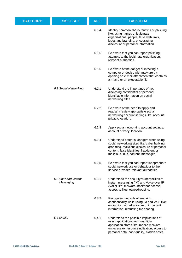| <b>CATEGORY</b> | <b>SKILL SET</b>                  | REF.  | <b>TASK ITEM</b>                                                                                                                                                                                                          |
|-----------------|-----------------------------------|-------|---------------------------------------------------------------------------------------------------------------------------------------------------------------------------------------------------------------------------|
|                 |                                   | 6.1.4 | Identify common characteristics of phishing<br>like: using names of legitimate<br>organisations, people, false web links,<br>logos and branding, encouraging<br>disclosure of personal information.                       |
|                 |                                   | 6.1.5 | Be aware that you can report phishing<br>attempts to the legitimate organisation,<br>relevant authorities.                                                                                                                |
|                 |                                   | 6.1.6 | Be aware of the danger of infecting a<br>computer or device with malware by<br>opening an e-mail attachment that contains<br>a macro or an executable file.                                                               |
|                 | 6.2 Social Networking             | 6.2.1 | Understand the importance of not<br>disclosing confidential or personal<br>identifiable information on social<br>networking sites.                                                                                        |
|                 |                                   | 6.2.2 | Be aware of the need to apply and<br>regularly review appropriate social<br>networking account settings like: account<br>privacy, location.                                                                               |
|                 |                                   | 6.2.3 | Apply social networking account settings:<br>account privacy, location.                                                                                                                                                   |
|                 |                                   | 6.2.4 | Understand potential dangers when using<br>social networking sites like: cyber bullying,<br>grooming, malicious disclosure of personal<br>content, false identities, fraudulent or<br>malicious links, content, messages. |
|                 |                                   | 6.2.5 | Be aware that you can report inappropriate<br>social network use or behaviour to the<br>service provider, relevant authorities.                                                                                           |
|                 | 6.3 VoIP and Instant<br>Messaging | 6.3.1 | Understand the security vulnerabilities of<br>instant messaging (IM) and Voice over IP<br>(VoIP) like: malware, backdoor access,<br>access to files, eavesdropping.                                                       |
|                 |                                   | 6.3.2 | Recognise methods of ensuring<br>confidentiality while using IM and VoIP like:<br>encryption, non-disclosure of important<br>information, restricting file sharing.                                                       |
|                 | 6.4 Mobile                        | 6.4.1 | Understand the possible implications of<br>using applications from unofficial<br>application stores like: mobile malware,<br>unnecessary resource utilisation, access to<br>personal data, poor quality, hidden costs.    |